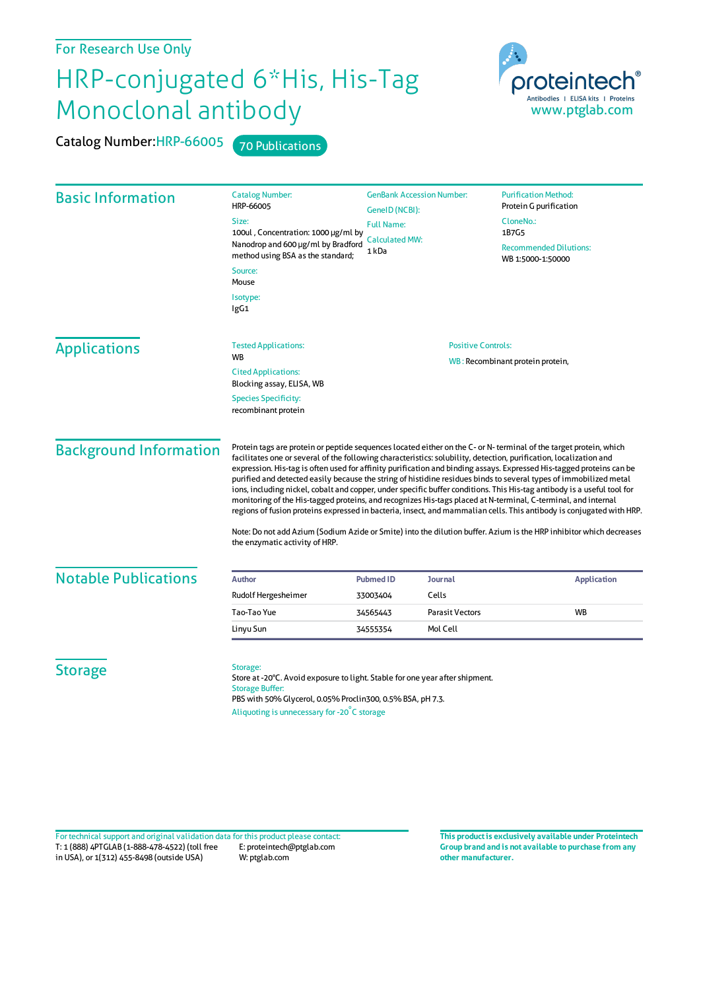## For Research Use Only

## HRP-conjugated 6\*His, His-Tag Monoclonal antibody

Catalog Number: HRP-66005 70 Publications



| <b>Catalog Number:</b><br>HRP-66005<br>Size:<br>method using BSA as the standard; | <b>GenBank Accession Number:</b><br>GeneID (NCBI):<br><b>Full Name:</b>                                     |                                                                                                                                                            | <b>Purification Method:</b><br>Protein G purification<br>CloneNo.:<br>1B7G5                                                                                                                                                                                                                                                                                                                                                                                                                                                                                                                                                                                                                                                                                                                                                                                                                                                                                                                                                                                                                                                |                  |  |                                                    |
|-----------------------------------------------------------------------------------|-------------------------------------------------------------------------------------------------------------|------------------------------------------------------------------------------------------------------------------------------------------------------------|----------------------------------------------------------------------------------------------------------------------------------------------------------------------------------------------------------------------------------------------------------------------------------------------------------------------------------------------------------------------------------------------------------------------------------------------------------------------------------------------------------------------------------------------------------------------------------------------------------------------------------------------------------------------------------------------------------------------------------------------------------------------------------------------------------------------------------------------------------------------------------------------------------------------------------------------------------------------------------------------------------------------------------------------------------------------------------------------------------------------------|------------------|--|----------------------------------------------------|
|                                                                                   |                                                                                                             |                                                                                                                                                            |                                                                                                                                                                                                                                                                                                                                                                                                                                                                                                                                                                                                                                                                                                                                                                                                                                                                                                                                                                                                                                                                                                                            | 1 kDa            |  | <b>Recommended Dilutions:</b><br>WB 1:5000-1:50000 |
|                                                                                   |                                                                                                             |                                                                                                                                                            |                                                                                                                                                                                                                                                                                                                                                                                                                                                                                                                                                                                                                                                                                                                                                                                                                                                                                                                                                                                                                                                                                                                            | Source:<br>Mouse |  |                                                    |
|                                                                                   | Isotype:<br>lgG1                                                                                            |                                                                                                                                                            |                                                                                                                                                                                                                                                                                                                                                                                                                                                                                                                                                                                                                                                                                                                                                                                                                                                                                                                                                                                                                                                                                                                            |                  |  |                                                    |
| <b>Tested Applications:</b>                                                       | <b>Positive Controls:</b>                                                                                   |                                                                                                                                                            |                                                                                                                                                                                                                                                                                                                                                                                                                                                                                                                                                                                                                                                                                                                                                                                                                                                                                                                                                                                                                                                                                                                            |                  |  |                                                    |
|                                                                                   |                                                                                                             | WB: Recombinant protein protein,                                                                                                                           |                                                                                                                                                                                                                                                                                                                                                                                                                                                                                                                                                                                                                                                                                                                                                                                                                                                                                                                                                                                                                                                                                                                            |                  |  |                                                    |
| Blocking assay, ELISA, WB                                                         |                                                                                                             |                                                                                                                                                            |                                                                                                                                                                                                                                                                                                                                                                                                                                                                                                                                                                                                                                                                                                                                                                                                                                                                                                                                                                                                                                                                                                                            |                  |  |                                                    |
| <b>Species Specificity:</b><br>recombinant protein                                |                                                                                                             |                                                                                                                                                            |                                                                                                                                                                                                                                                                                                                                                                                                                                                                                                                                                                                                                                                                                                                                                                                                                                                                                                                                                                                                                                                                                                                            |                  |  |                                                    |
| the enzymatic activity of HRP.                                                    |                                                                                                             |                                                                                                                                                            |                                                                                                                                                                                                                                                                                                                                                                                                                                                                                                                                                                                                                                                                                                                                                                                                                                                                                                                                                                                                                                                                                                                            |                  |  |                                                    |
|                                                                                   |                                                                                                             |                                                                                                                                                            |                                                                                                                                                                                                                                                                                                                                                                                                                                                                                                                                                                                                                                                                                                                                                                                                                                                                                                                                                                                                                                                                                                                            |                  |  |                                                    |
|                                                                                   |                                                                                                             |                                                                                                                                                            | <b>Application</b>                                                                                                                                                                                                                                                                                                                                                                                                                                                                                                                                                                                                                                                                                                                                                                                                                                                                                                                                                                                                                                                                                                         |                  |  |                                                    |
|                                                                                   |                                                                                                             |                                                                                                                                                            |                                                                                                                                                                                                                                                                                                                                                                                                                                                                                                                                                                                                                                                                                                                                                                                                                                                                                                                                                                                                                                                                                                                            |                  |  |                                                    |
|                                                                                   |                                                                                                             |                                                                                                                                                            | <b>WB</b>                                                                                                                                                                                                                                                                                                                                                                                                                                                                                                                                                                                                                                                                                                                                                                                                                                                                                                                                                                                                                                                                                                                  |                  |  |                                                    |
|                                                                                   |                                                                                                             |                                                                                                                                                            |                                                                                                                                                                                                                                                                                                                                                                                                                                                                                                                                                                                                                                                                                                                                                                                                                                                                                                                                                                                                                                                                                                                            |                  |  |                                                    |
| Storage:<br><b>Storage Buffer:</b>                                                |                                                                                                             |                                                                                                                                                            |                                                                                                                                                                                                                                                                                                                                                                                                                                                                                                                                                                                                                                                                                                                                                                                                                                                                                                                                                                                                                                                                                                                            |                  |  |                                                    |
|                                                                                   | <b>WB</b><br><b>Cited Applications:</b><br><b>Author</b><br>Rudolf Hergesheimer<br>Tao-Tao Yue<br>Linyu Sun | 100ul, Concentration: 1000 µg/ml by<br><b>Calculated MW:</b><br>Nanodrop and 600 µg/ml by Bradford<br><b>Pubmed ID</b><br>33003404<br>34565443<br>34555354 | Protein tags are protein or peptide sequences located either on the C- or N- terminal of the target protein, which<br>facilitates one or several of the following characteristics: solubility, detection, purification, localization and<br>expression. His-tag is often used for affinity purification and binding assays. Expressed His-tagged proteins can be<br>purified and detected easily because the string of histidine residues binds to several types of immobilized metal<br>ions, including nickel, cobalt and copper, under specific buffer conditions. This His-tag antibody is a useful tool for<br>monitoring of the His-tagged proteins, and recognizes His-tags placed at N-terminal, C-terminal, and internal<br>regions of fusion proteins expressed in bacteria, insect, and mammalian cells. This antibody is conjugated with HRP.<br>Note: Do not add Azium (Sodium Azide or Smite) into the dilution buffer. Azium is the HRP inhibitor which decreases<br>Journal<br>Cells<br><b>Parasit Vectors</b><br>Mol Cell<br>Store at -20°C. Avoid exposure to light. Stable for one year after shipment. |                  |  |                                                    |

T: 1 (888) 4PTGLAB (1-888-478-4522) (toll free in USA), or 1(312) 455-8498 (outside USA) E: proteintech@ptglab.com W: ptglab.com Fortechnical support and original validation data forthis product please contact: **This productis exclusively available under Proteintech**

**Group brand and is not available to purchase from any other manufacturer.**